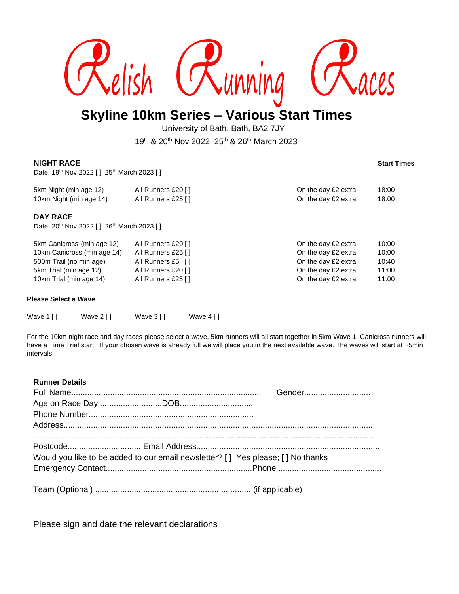

# **Skyline 10km Series – Various Start Times**

University of Bath, Bath, BA2 7JY

19th & 20th Nov 2022, 25th & 26th March 2023

### **NIGHT RACE Start Times**

Date; 19<sup>th</sup> Nov 2022 [ ]; 25<sup>th</sup> March 2023 [ ]

| 5km Night (min age 12)  | All Runners £20 []  | On the day £2 extra | 18:00 |
|-------------------------|---------------------|---------------------|-------|
| 10km Night (min age 14) | All Runners £25 [1] | On the day £2 extra | 18:00 |

## **DAY RACE**

Date; 20<sup>th</sup> Nov 2022 [ ]; 26<sup>th</sup> March 2023 [ ]

| 5km Canicross (min age 12)  | All Runners £20 [] | On the day £2 extra | 10:00 |
|-----------------------------|--------------------|---------------------|-------|
| 10km Canicross (min age 14) | All Runners £25 [] | On the day £2 extra | 10:00 |
| 500m Trail (no min age)     | All Runners £5 []  | On the day £2 extra | 10:40 |
| 5km Trial (min age 12)      | All Runners £20 [] | On the day £2 extra | 11:00 |
| 10km Trial (min age 14)     | All Runners £25 [] | On the day £2 extra | 11:00 |

#### **Please Select a Wave**

| Wave 1 [ ] | Wave 2 [ ] | Wave 3 [ ] | Wave 4 [ ] |
|------------|------------|------------|------------|

For the 10km night race and day races please select a wave. 5km runners will all start together in 5km Wave 1. Canicross runners will have a Time Trial start. If your chosen wave is already full we will place you in the next available wave. The waves will start at ~5min intervals.

#### **Runner Details**

| Would you like to be added to our email newsletter? [] Yes please; [] No thanks |  |
|---------------------------------------------------------------------------------|--|
|                                                                                 |  |
|                                                                                 |  |
|                                                                                 |  |

Please sign and date the relevant declarations